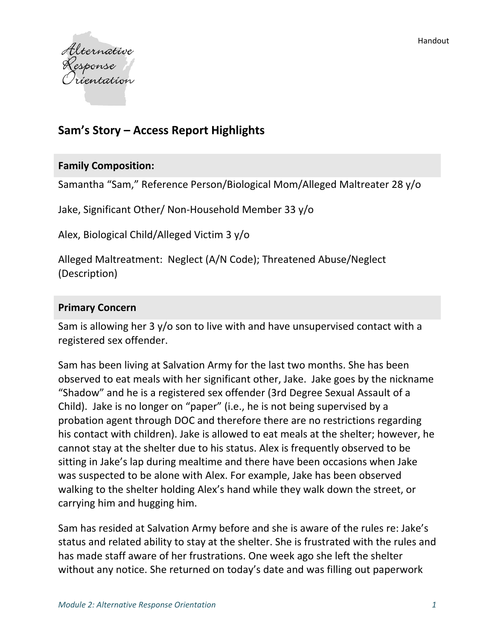

## **Sam's Story – Access Report Highlights**

## **Family Composition:**

Samantha "Sam," Reference Person/Biological Mom/Alleged Maltreater 28 y/o

Jake, Significant Other/ Non‐Household Member 33 y/o

Alex, Biological Child/Alleged Victim 3 y/o

Alleged Maltreatment: Neglect (A/N Code); Threatened Abuse/Neglect (Description)

## **Primary Concern**

Sam is allowing her 3 y/o son to live with and have unsupervised contact with a registered sex offender.

Sam has been living at Salvation Army for the last two months. She has been observed to eat meals with her significant other, Jake. Jake goes by the nickname "Shadow" and he is a registered sex offender (3rd Degree Sexual Assault of a Child). Jake is no longer on "paper" (i.e., he is not being supervised by a probation agent through DOC and therefore there are no restrictions regarding his contact with children). Jake is allowed to eat meals at the shelter; however, he cannot stay at the shelter due to his status. Alex is frequently observed to be sitting in Jake's lap during mealtime and there have been occasions when Jake was suspected to be alone with Alex. For example, Jake has been observed walking to the shelter holding Alex's hand while they walk down the street, or carrying him and hugging him.

Sam has resided at Salvation Army before and she is aware of the rules re: Jake's status and related ability to stay at the shelter. She is frustrated with the rules and has made staff aware of her frustrations. One week ago she left the shelter without any notice. She returned on today's date and was filling out paperwork